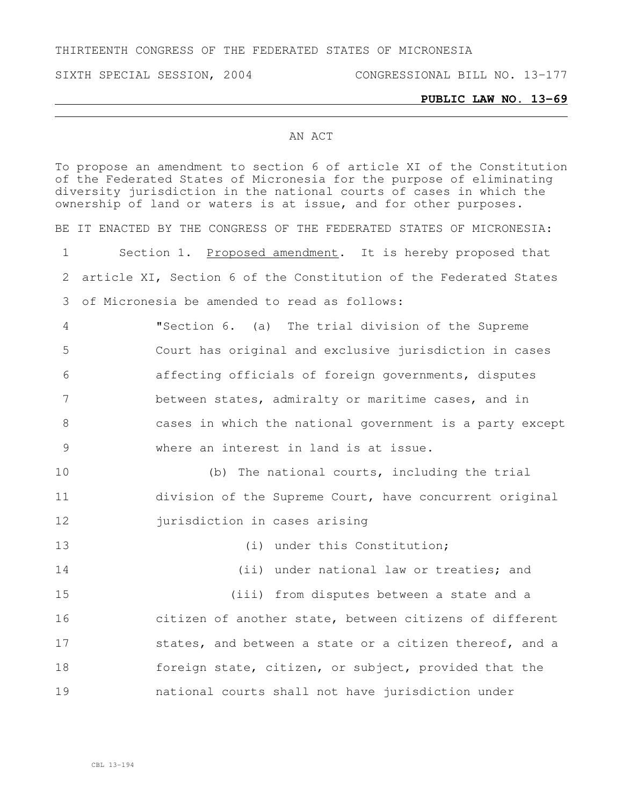THIRTEENTH CONGRESS OF THE FEDERATED STATES OF MICRONESIA

SIXTH SPECIAL SESSION, 2004 CONGRESSIONAL BILL NO. 13-177

## **PUBLIC LAW NO. 13-69**

## AN ACT

To propose an amendment to section 6 of article XI of the Constitution of the Federated States of Micronesia for the purpose of eliminating diversity jurisdiction in the national courts of cases in which the ownership of land or waters is at issue, and for other purposes. BE IT ENACTED BY THE CONGRESS OF THE FEDERATED STATES OF MICRONESIA: 1 Section 1. Proposed amendment. It is hereby proposed that 2 article XI, Section 6 of the Constitution of the Federated States 3 of Micronesia be amended to read as follows: 4 "Section 6. (a) The trial division of the Supreme 5 Court has original and exclusive jurisdiction in cases 6 affecting officials of foreign governments, disputes 7 between states, admiralty or maritime cases, and in 8 cases in which the national government is a party except 9 where an interest in land is at issue. 10 (b) The national courts, including the trial 11 division of the Supreme Court, have concurrent original 12 iurisdiction in cases arising 13 (i) under this Constitution; 14 (ii) under national law or treaties; and 15 (iii) from disputes between a state and a 16 citizen of another state, between citizens of different 17 states, and between a state or a citizen thereof, and a 18 foreign state, citizen, or subject, provided that the 19 national courts shall not have jurisdiction under